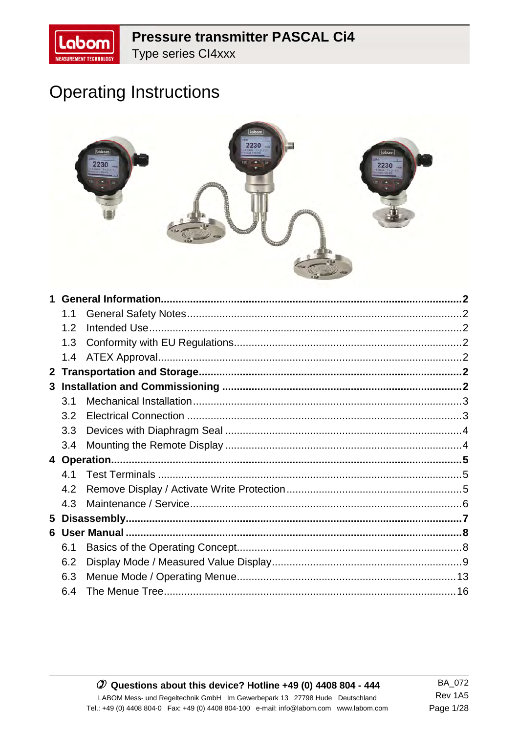# **Pressure transmitter PASCAL Ci4**

Type series Cl4xxx

# **Operating Instructions**



|              | 1.1 |  |
|--------------|-----|--|
|              | 1.2 |  |
|              | 1.3 |  |
|              | 1.4 |  |
| $\mathbf{2}$ |     |  |
|              |     |  |
|              | 3.1 |  |
|              | 3.2 |  |
|              | 3.3 |  |
|              | 3.4 |  |
|              |     |  |
|              | 4.1 |  |
|              | 4.2 |  |
|              | 4.3 |  |
| 5            |     |  |
|              |     |  |
|              | 6.1 |  |
|              | 6.2 |  |
|              | 6.3 |  |
|              | 6.4 |  |

#### $O$  Questions about this device? Hotline +49 (0) 4408 804 - 444 LABOM Mess- und Regeltechnik GmbH Im Gewerbepark 13 27798 Hude Deutschland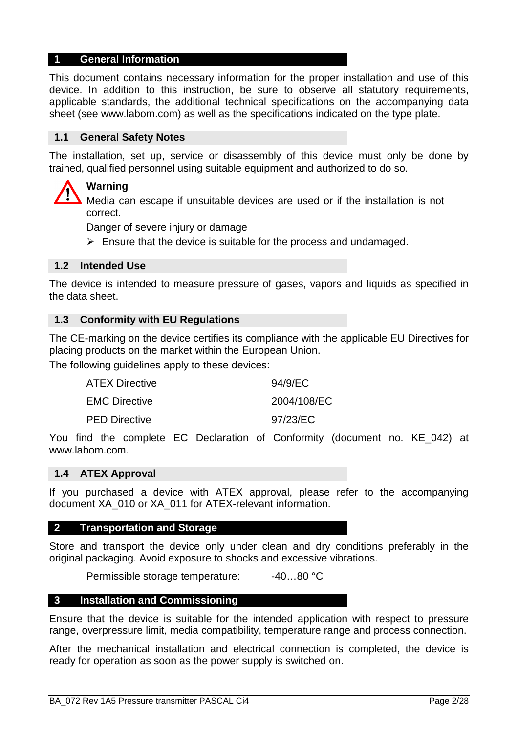#### **1 General Information**

This document contains necessary information for the proper installation and use of this device. In addition to this instruction, be sure to observe all statutory requirements, applicable standards, the additional technical specifications on the accompanying data sheet (see www.labom.com) as well as the specifications indicated on the type plate.

#### **1.1 General Safety Notes**

The installation, set up, service or disassembly of this device must only be done by trained, qualified personnel using suitable equipment and authorized to do so.

### **Warning**

Media can escape if unsuitable devices are used or if the installation is not correct.

Danger of severe injury or damage

> Ensure that the device is suitable for the process and undamaged.

#### **1.2 Intended Use**

The device is intended to measure pressure of gases, vapors and liquids as specified in the data sheet.

#### **1.3 Conformity with EU Regulations**

The CE-marking on the device certifies its compliance with the applicable EU Directives for placing products on the market within the European Union.

The following guidelines apply to these devices:

| <b>ATEX Directive</b> | 94/9/EC     |
|-----------------------|-------------|
| <b>EMC Directive</b>  | 2004/108/EC |
| <b>PED Directive</b>  | 97/23/EC    |

You find the complete EC Declaration of Conformity (document no. KE\_042) at www.labom.com.

#### **1.4 ATEX Approval**

If you purchased a device with ATEX approval, please refer to the accompanying document XA\_010 or XA\_011 for ATEX-relevant information.

#### **2 Transportation and Storage**

Store and transport the device only under clean and dry conditions preferably in the original packaging. Avoid exposure to shocks and excessive vibrations.

Permissible storage temperature: -40...80 °C

#### **3 Installation and Commissioning**

Ensure that the device is suitable for the intended application with respect to pressure range, overpressure limit, media compatibility, temperature range and process connection.

After the mechanical installation and electrical connection is completed, the device is ready for operation as soon as the power supply is switched on.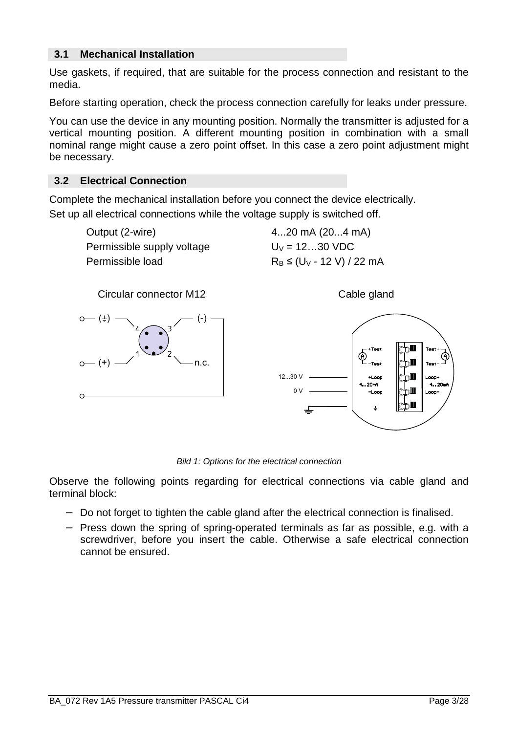## **3.1 Mechanical Installation**

Use gaskets, if required, that are suitable for the process connection and resistant to the media.

Before starting operation, check the process connection carefully for leaks under pressure.

You can use the device in any mounting position. Normally the transmitter is adjusted for a vertical mounting position. A different mounting position in combination with a small nominal range might cause a zero point offset. In this case a zero point adjustment might be necessary.

## **3.2 Electrical Connection**

Complete the mechanical installation before you connect the device electrically. Set up all electrical connections while the voltage supply is switched off.

> Output (2-wire) 4...20 mA (20...4 mA) Permissible supply voltage  $U_V = 12...30$  VDC Permissible load  $R_B \leq (U_V - 12 V) / 22 mA$



Bild 1: Options for the electrical connection

Observe the following points regarding for electrical connections via cable gland and terminal block:

- − Do not forget to tighten the cable gland after the electrical connection is finalised.
- − Press down the spring of spring-operated terminals as far as possible, e.g. with a screwdriver, before you insert the cable. Otherwise a safe electrical connection cannot be ensured.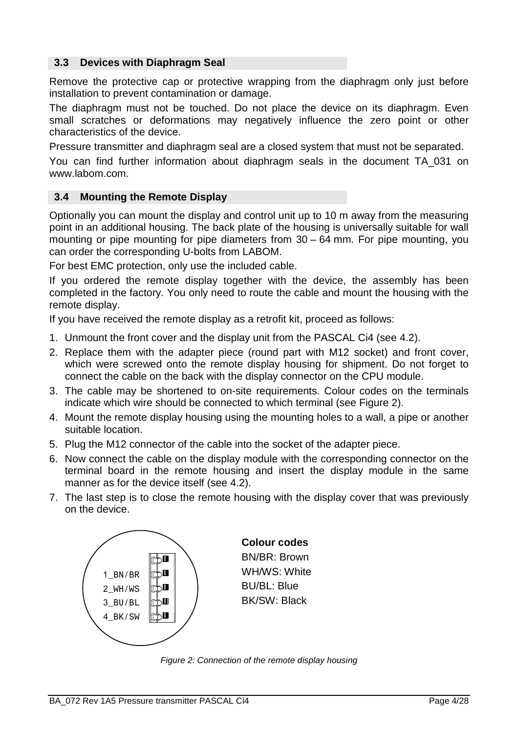## **3.3 Devices with Diaphragm Seal**

Remove the protective cap or protective wrapping from the diaphragm only just before installation to prevent contamination or damage.

The diaphragm must not be touched. Do not place the device on its diaphragm. Even small scratches or deformations may negatively influence the zero point or other characteristics of the device.

Pressure transmitter and diaphragm seal are a closed system that must not be separated.

You can find further information about diaphragm seals in the document TA\_031 on www.labom.com.

## **3.4 Mounting the Remote Display**

Optionally you can mount the display and control unit up to 10 m away from the measuring point in an additional housing. The back plate of the housing is universally suitable for wall mounting or pipe mounting for pipe diameters from 30 – 64 mm. For pipe mounting, you can order the corresponding U-bolts from LABOM.

For best EMC protection, only use the included cable.

If you ordered the remote display together with the device, the assembly has been completed in the factory. You only need to route the cable and mount the housing with the remote display.

If you have received the remote display as a retrofit kit, proceed as follows:

- 1. Unmount the front cover and the display unit from the PASCAL Ci4 (see 4.2).
- 2. Replace them with the adapter piece (round part with M12 socket) and front cover, which were screwed onto the remote display housing for shipment. Do not forget to connect the cable on the back with the display connector on the CPU module.
- 3. The cable may be shortened to on-site requirements. Colour codes on the terminals indicate which wire should be connected to which terminal (see Figure 2).
- 4. Mount the remote display housing using the mounting holes to a wall, a pipe or another suitable location.
- 5. Plug the M12 connector of the cable into the socket of the adapter piece.
- 6. Now connect the cable on the display module with the corresponding connector on the terminal board in the remote housing and insert the display module in the same manner as for the device itself (see 4.2).
- 7. The last step is to close the remote housing with the display cover that was previously on the device.



Figure 2: Connection of the remote display housing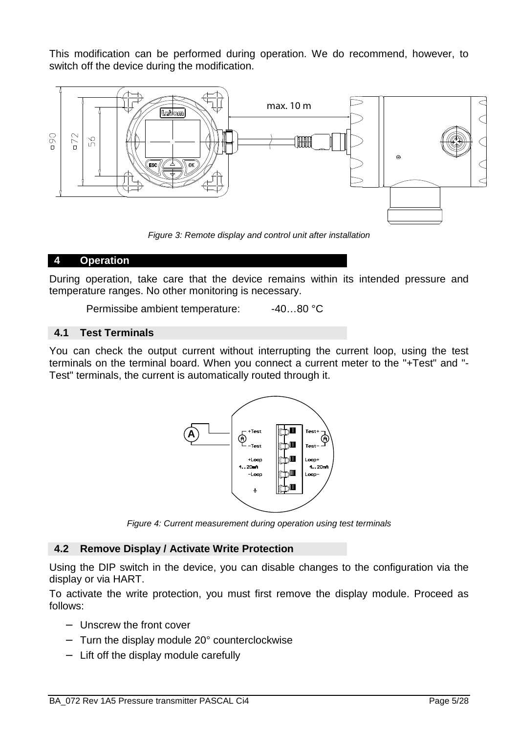This modification can be performed during operation. We do recommend, however, to switch off the device during the modification.



Figure 3: Remote display and control unit after installation

### **4 Operation**

During operation, take care that the device remains within its intended pressure and temperature ranges. No other monitoring is necessary.

Permissibe ambient temperature: -40...80 °C

### **4.1 Test Terminals**

You can check the output current without interrupting the current loop, using the test terminals on the terminal board. When you connect a current meter to the "+Test" and "- Test" terminals, the current is automatically routed through it.



Figure 4: Current measurement during operation using test terminals

# **4.2 Remove Display / Activate Write Protection**

Using the DIP switch in the device, you can disable changes to the configuration via the display or via HART.

To activate the write protection, you must first remove the display module. Proceed as follows:

- − Unscrew the front cover
- − Turn the display module 20° counterclockwise
- − Lift off the display module carefully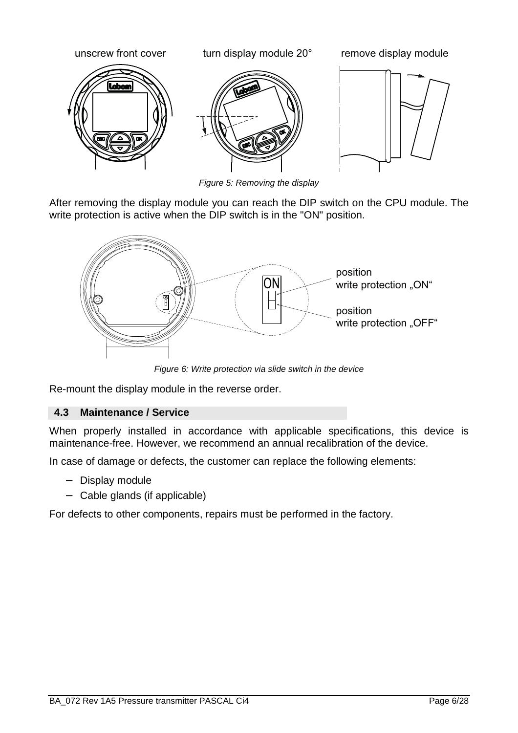

Figure 5: Removing the display

After removing the display module you can reach the DIP switch on the CPU module. The write protection is active when the DIP switch is in the "ON" position.



Figure 6: Write protection via slide switch in the device

Re-mount the display module in the reverse order.

# **4.3 Maintenance / Service**

When properly installed in accordance with applicable specifications, this device is maintenance-free. However, we recommend an annual recalibration of the device.

In case of damage or defects, the customer can replace the following elements:

- − Display module
- − Cable glands (if applicable)

For defects to other components, repairs must be performed in the factory.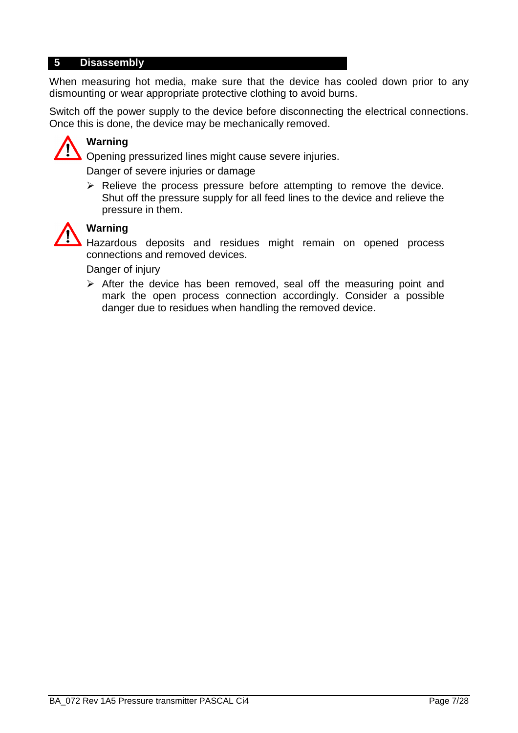### **5 Disassembly**

When measuring hot media, make sure that the device has cooled down prior to any dismounting or wear appropriate protective clothing to avoid burns.

Switch off the power supply to the device before disconnecting the electrical connections. Once this is done, the device may be mechanically removed.



# **Warning**

Opening pressurized lines might cause severe injuries.

Danger of severe injuries or damage

> Relieve the process pressure before attempting to remove the device. Shut off the pressure supply for all feed lines to the device and relieve the pressure in them.



# **Warning**

Hazardous deposits and residues might remain on opened process connections and removed devices.

Danger of injury

> After the device has been removed, seal off the measuring point and mark the open process connection accordingly. Consider a possible danger due to residues when handling the removed device.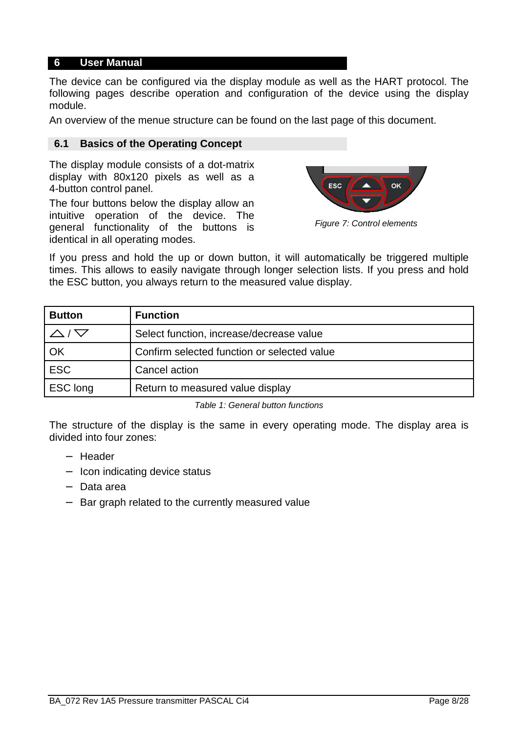## **6 User Manual**

The device can be configured via the display module as well as the HART protocol. The following pages describe operation and configuration of the device using the display module.

An overview of the menue structure can be found on the last page of this document.

#### **6.1 Basics of the Operating Concept**

The display module consists of a dot-matrix display with 80x120 pixels as well as a 4-button control panel.

The four buttons below the display allow an intuitive operation of the device. The general functionality of the buttons is identical in all operating modes.



Figure 7: Control elements

If you press and hold the up or down button, it will automatically be triggered multiple times. This allows to easily navigate through longer selection lists. If you press and hold the ESC button, you always return to the measured value display.

| <b>Button</b> | <b>Function</b>                             |
|---------------|---------------------------------------------|
|               | Select function, increase/decrease value    |
| OK            | Confirm selected function or selected value |
| <b>ESC</b>    | Cancel action                               |
| ESC long      | Return to measured value display            |

Table 1: General button functions

The structure of the display is the same in every operating mode. The display area is divided into four zones:

- − Header
- − Icon indicating device status
- − Data area
- − Bar graph related to the currently measured value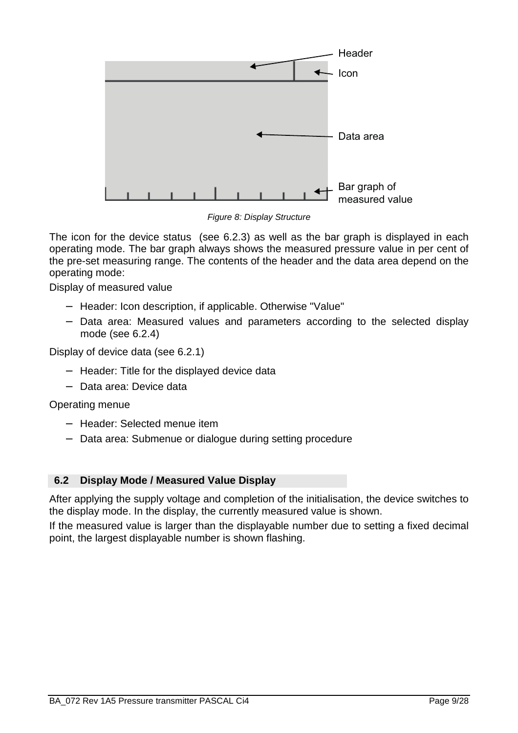

Figure 8: Display Structure

The icon for the device status (see 6.2.3) as well as the bar graph is displayed in each operating mode. The bar graph always shows the measured pressure value in per cent of the pre-set measuring range. The contents of the header and the data area depend on the operating mode:

Display of measured value

- − Header: Icon description, if applicable. Otherwise "Value"
- − Data area: Measured values and parameters according to the selected display mode (see 6.2.4)

Display of device data (see 6.2.1)

- − Header: Title for the displayed device data
- − Data area: Device data

Operating menue

- − Header: Selected menue item
- − Data area: Submenue or dialogue during setting procedure

### **6.2 Display Mode / Measured Value Display**

After applying the supply voltage and completion of the initialisation, the device switches to the display mode. In the display, the currently measured value is shown.

If the measured value is larger than the displayable number due to setting a fixed decimal point, the largest displayable number is shown flashing.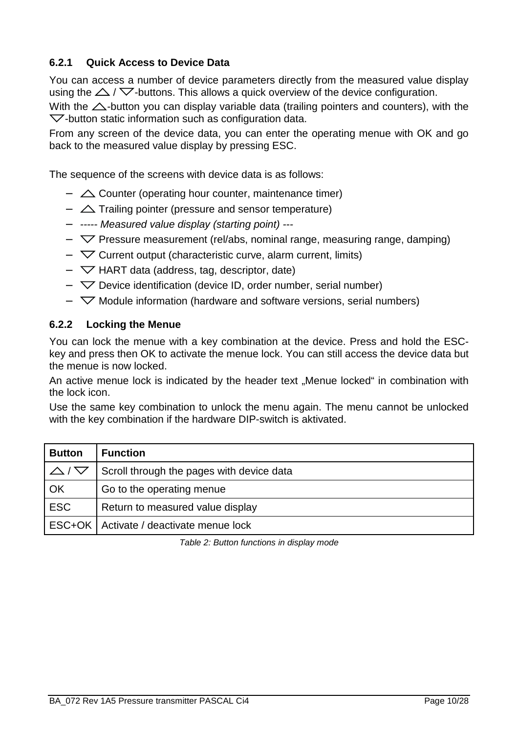# **6.2.1 Quick Access to Device Data**

You can access a number of device parameters directly from the measured value display using the  $\triangle$  /  $\nabla$ -buttons. This allows a quick overview of the device configuration.

With the  $\triangle$ -button you can display variable data (trailing pointers and counters), with the  $\nabla$ -button static information such as configuration data.

From any screen of the device data, you can enter the operating menue with OK and go back to the measured value display by pressing ESC.

The sequence of the screens with device data is as follows:

- − Counter (operating hour counter, maintenance timer)
- −  $\triangle$  Trailing pointer (pressure and sensor temperature)
- − ----- Measured value display (starting point) ---
- − Pressure measurement (rel/abs, nominal range, measuring range, damping)
- − Current output (characteristic curve, alarm current, limits)
- − HART data (address, tag, descriptor, date)
- − Device identification (device ID, order number, serial number)
- − Module information (hardware and software versions, serial numbers)

### **6.2.2 Locking the Menue**

You can lock the menue with a key combination at the device. Press and hold the ESCkey and press then OK to activate the menue lock. You can still access the device data but the menue is now locked.

An active menue lock is indicated by the header text ..Menue locked" in combination with the lock icon.

Use the same key combination to unlock the menu again. The menu cannot be unlocked with the key combination if the hardware DIP-switch is aktivated.

| <b>Button</b>          | <b>Function</b>                           |
|------------------------|-------------------------------------------|
| $\triangle$ / $\nabla$ | Scroll through the pages with device data |
| OK                     | Go to the operating menue                 |
| <b>ESC</b>             | Return to measured value display          |
|                        | ESC+OK   Activate / deactivate menue lock |

Table 2: Button functions in display mode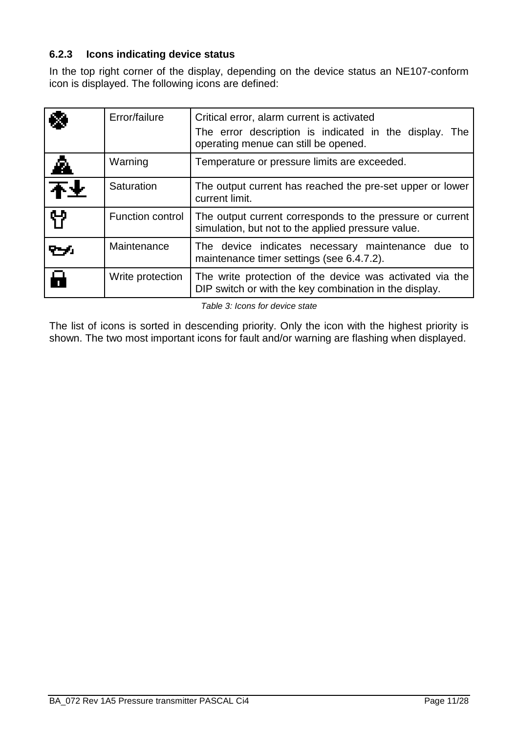## **6.2.3 Icons indicating device status**

In the top right corner of the display, depending on the device status an NE107-conform icon is displayed. The following icons are defined:

|    | Error/failure           | Critical error, alarm current is activated<br>The error description is indicated in the display. The<br>operating menue can still be opened. |
|----|-------------------------|----------------------------------------------------------------------------------------------------------------------------------------------|
| ◬  | Warning                 | Temperature or pressure limits are exceeded.                                                                                                 |
| 不业 | Saturation              | The output current has reached the pre-set upper or lower<br>current limit.                                                                  |
| የነ | <b>Function control</b> | The output current corresponds to the pressure or current<br>simulation, but not to the applied pressure value.                              |
|    | Maintenance             | The device indicates necessary maintenance due to<br>maintenance timer settings (see 6.4.7.2).                                               |
| Н  | Write protection        | The write protection of the device was activated via the<br>DIP switch or with the key combination in the display.                           |

Table 3: Icons for device state

The list of icons is sorted in descending priority. Only the icon with the highest priority is shown. The two most important icons for fault and/or warning are flashing when displayed.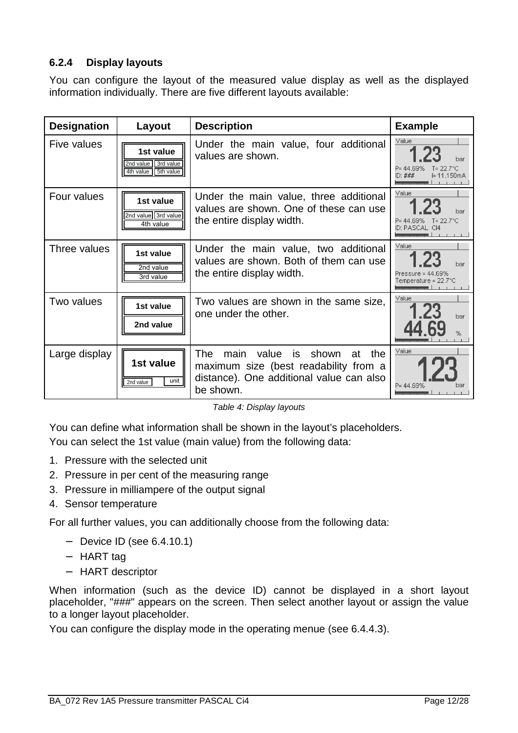# **6.2.4 Display layouts**

You can configure the layout of the measured value display as well as the displayed information individually. There are five different layouts available:

| <b>Designation</b> | Layout                                                  | <b>Description</b>                                                                                                                                   | <b>Example</b>                                                                     |
|--------------------|---------------------------------------------------------|------------------------------------------------------------------------------------------------------------------------------------------------------|------------------------------------------------------------------------------------|
| Five values        | 1st value<br>2nd value 3rd value<br>4th value 5th value | Under the main value, four additional<br>values are shown.                                                                                           | Value<br>1 23<br>bar<br>$T = 22.7^{\circ}C$<br>P= 44.69%<br>ID: ###<br>l= 11.150mA |
| Four values        | 1st value<br>2nd value 3rd value<br>4th value           | Under the main value, three additional<br>values are shown. One of these can use<br>the entire display width.                                        | Value<br>1 23<br>bar<br>$P = 44.69\%$ T= 22.7°C<br>ID: PASCAL CI4                  |
| Three values       | 1st value<br>2nd value<br>3rd value                     | Under the main value, two additional<br>values are shown. Both of them can use<br>the entire display width.                                          | Value<br>har<br>Pressure = $44.69\%$<br>Temperature = 22.7°C                       |
| Two values         | 1st value<br>2nd value                                  | Two values are shown in the same size,<br>one under the other.                                                                                       | Value<br>1.23<br>bar<br>%                                                          |
| Large display      | 1st value<br>unit<br>2nd value                          | <b>The</b><br>main<br>value is shown<br>at<br>the.<br>maximum size (best readability from a<br>distance). One additional value can also<br>be shown. | Value<br>bar<br>P= 44 69%                                                          |

Table 4: Display layouts

You can define what information shall be shown in the layout's placeholders.

You can select the 1st value (main value) from the following data:

- 1. Pressure with the selected unit
- 2. Pressure in per cent of the measuring range
- 3. Pressure in milliampere of the output signal
- 4. Sensor temperature

For all further values, you can additionally choose from the following data:

- − Device ID (see 6.4.10.1)
- − HART tag
- − HART descriptor

When information (such as the device ID) cannot be displayed in a short layout placeholder, "###" appears on the screen. Then select another layout or assign the value to a longer layout placeholder.

You can configure the display mode in the operating menue (see 6.4.4.3).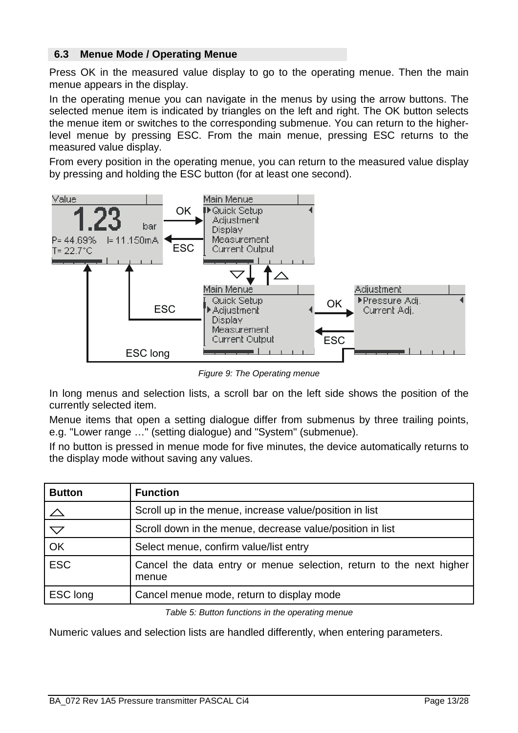## **6.3 Menue Mode / Operating Menue**

Press OK in the measured value display to go to the operating menue. Then the main menue appears in the display.

In the operating menue you can navigate in the menus by using the arrow buttons. The selected menue item is indicated by triangles on the left and right. The OK button selects the menue item or switches to the corresponding submenue. You can return to the higherlevel menue by pressing ESC. From the main menue, pressing ESC returns to the measured value display.

From every position in the operating menue, you can return to the measured value display by pressing and holding the ESC button (for at least one second).



Figure 9: The Operating menue

In long menus and selection lists, a scroll bar on the left side shows the position of the currently selected item.

Menue items that open a setting dialogue differ from submenus by three trailing points, e.g. "Lower range …" (setting dialogue) and "System" (submenue).

If no button is pressed in menue mode for five minutes, the device automatically returns to the display mode without saving any values.

| <b>Button</b>      | <b>Function</b>                                                              |
|--------------------|------------------------------------------------------------------------------|
|                    | Scroll up in the menue, increase value/position in list                      |
| $\bigtriangledown$ | Scroll down in the menue, decrease value/position in list                    |
| OK                 | Select menue, confirm value/list entry                                       |
| ESC                | Cancel the data entry or menue selection, return to the next higher<br>menue |
| ESC long           | Cancel menue mode, return to display mode                                    |

Table 5: Button functions in the operating menue

Numeric values and selection lists are handled differently, when entering parameters.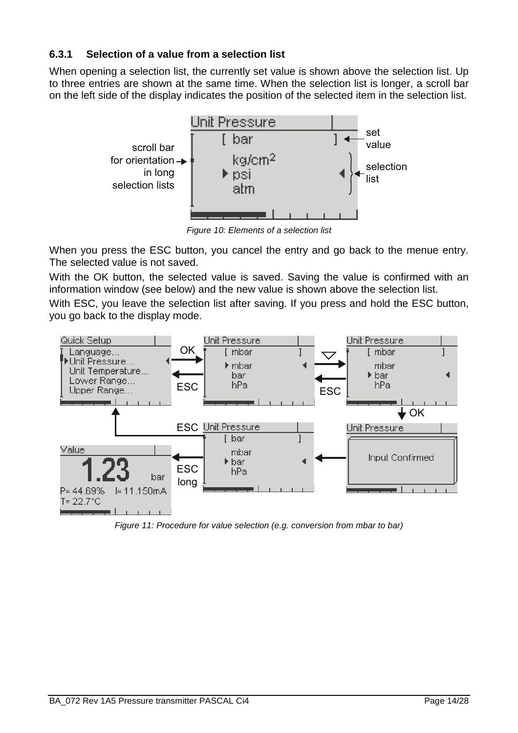# **6.3.1 Selection of a value from a selection list**

When opening a selection list, the currently set value is shown above the selection list. Up to three entries are shown at the same time. When the selection list is longer, a scroll bar on the left side of the display indicates the position of the selected item in the selection list.



Figure 10: Elements of a selection list

When you press the ESC button, you cancel the entry and go back to the menue entry. The selected value is not saved.

With the OK button, the selected value is saved. Saving the value is confirmed with an information window (see below) and the new value is shown above the selection list.

With ESC, you leave the selection list after saving. If you press and hold the ESC button, you go back to the display mode.



Figure 11: Procedure for value selection (e.g. conversion from mbar to bar)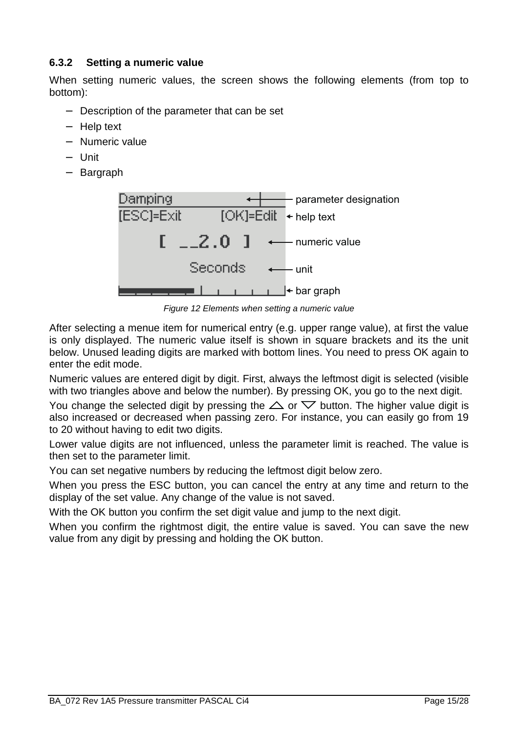# **6.3.2 Setting a numeric value**

When setting numeric values, the screen shows the following elements (from top to bottom):

- − Description of the parameter that can be set
- − Help text
- − Numeric value
- − Unit
- − Bargraph



Figure 12 Elements when setting a numeric value

After selecting a menue item for numerical entry (e.g. upper range value), at first the value is only displayed. The numeric value itself is shown in square brackets and its the unit below. Unused leading digits are marked with bottom lines. You need to press OK again to enter the edit mode.

Numeric values are entered digit by digit. First, always the leftmost digit is selected (visible with two triangles above and below the number). By pressing OK, you go to the next digit.

You change the selected digit by pressing the  $\triangle$  or  $\nabla$  button. The higher value digit is also increased or decreased when passing zero. For instance, you can easily go from 19 to 20 without having to edit two digits.

Lower value digits are not influenced, unless the parameter limit is reached. The value is then set to the parameter limit.

You can set negative numbers by reducing the leftmost digit below zero.

When you press the ESC button, you can cancel the entry at any time and return to the display of the set value. Any change of the value is not saved.

With the OK button you confirm the set digit value and jump to the next digit.

When you confirm the rightmost digit, the entire value is saved. You can save the new value from any digit by pressing and holding the OK button.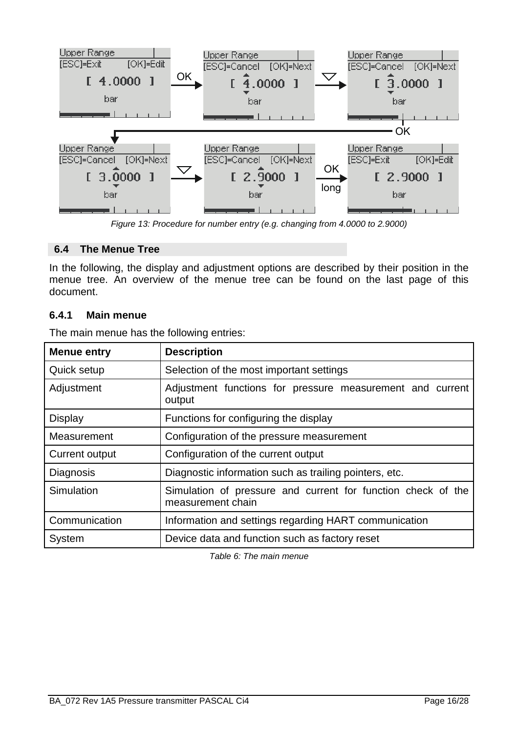

Figure 13: Procedure for number entry (e.g. changing from 4.0000 to 2.9000)

## **6.4 The Menue Tree**

In the following, the display and adjustment options are described by their position in the menue tree. An overview of the menue tree can be found on the last page of this document.

### **6.4.1 Main menue**

| <b>Menue entry</b> | <b>Description</b>                                                                |
|--------------------|-----------------------------------------------------------------------------------|
| Quick setup        | Selection of the most important settings                                          |
| Adjustment         | Adjustment functions for pressure measurement and current<br>output               |
| <b>Display</b>     | Functions for configuring the display                                             |
| Measurement        | Configuration of the pressure measurement                                         |
| Current output     | Configuration of the current output                                               |
| Diagnosis          | Diagnostic information such as trailing pointers, etc.                            |
| Simulation         | Simulation of pressure and current for function check of the<br>measurement chain |
| Communication      | Information and settings regarding HART communication                             |
| System             | Device data and function such as factory reset                                    |

The main menue has the following entries:

Table 6: The main menue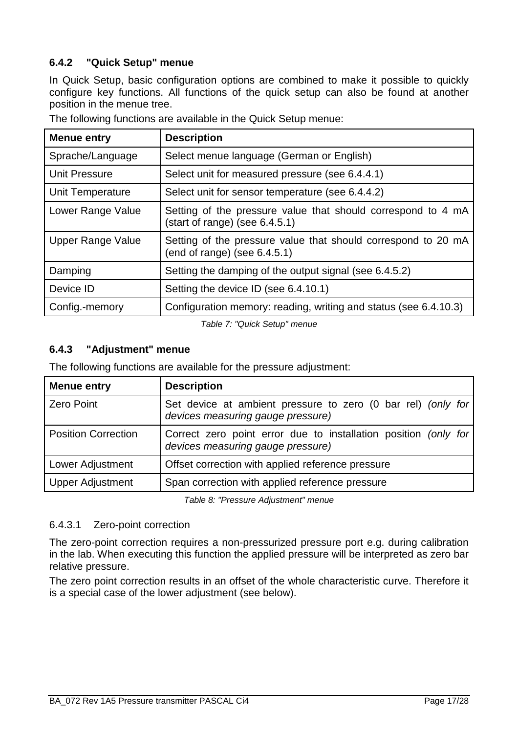# **6.4.2 "Quick Setup" menue**

In Quick Setup, basic configuration options are combined to make it possible to quickly configure key functions. All functions of the quick setup can also be found at another position in the menue tree.

| <b>Menue entry</b>       | <b>Description</b>                                                                                |
|--------------------------|---------------------------------------------------------------------------------------------------|
| Sprache/Language         | Select menue language (German or English)                                                         |
| <b>Unit Pressure</b>     | Select unit for measured pressure (see 6.4.4.1)                                                   |
| Unit Temperature         | Select unit for sensor temperature (see 6.4.4.2)                                                  |
| Lower Range Value        | Setting of the pressure value that should correspond to 4 mA<br>(start of range) (see $6.4.5.1$ ) |
| <b>Upper Range Value</b> | Setting of the pressure value that should correspond to 20 mA<br>(end of range) (see $6.4.5.1$ )  |
| Damping                  | Setting the damping of the output signal (see 6.4.5.2)                                            |
| Device ID                | Setting the device ID (see 6.4.10.1)                                                              |
| Config.-memory           | Configuration memory: reading, writing and status (see 6.4.10.3)                                  |

The following functions are available in the Quick Setup menue:

Table 7: "Quick Setup" menue

# **6.4.3 "Adjustment" menue**

The following functions are available for the pressure adjustment:

| <b>Menue entry</b>         | <b>Description</b>                                                                                   |
|----------------------------|------------------------------------------------------------------------------------------------------|
| <b>Zero Point</b>          | Set device at ambient pressure to zero (0 bar rel) (only for<br>devices measuring gauge pressure)    |
| <b>Position Correction</b> | Correct zero point error due to installation position (only for<br>devices measuring gauge pressure) |
| Lower Adjustment           | Offset correction with applied reference pressure                                                    |
| <b>Upper Adjustment</b>    | Span correction with applied reference pressure                                                      |

Table 8: "Pressure Adjustment" menue

### 6.4.3.1 Zero-point correction

The zero-point correction requires a non-pressurized pressure port e.g. during calibration in the lab. When executing this function the applied pressure will be interpreted as zero bar relative pressure.

The zero point correction results in an offset of the whole characteristic curve. Therefore it is a special case of the lower adjustment (see below).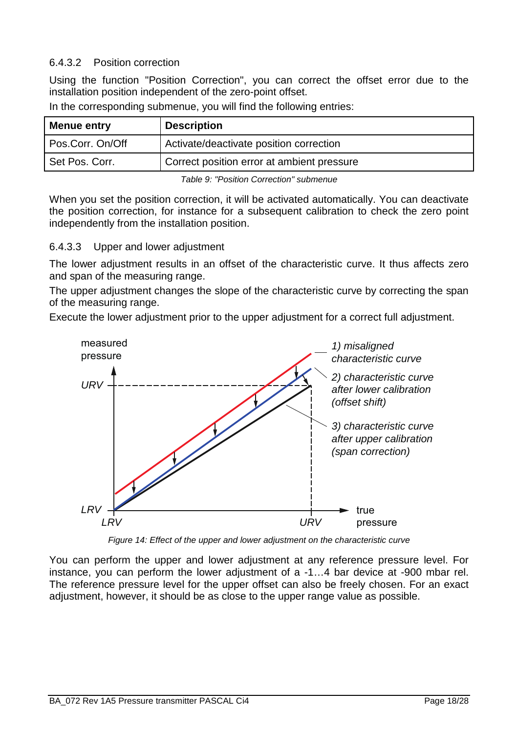## 6.4.3.2 Position correction

Using the function "Position Correction", you can correct the offset error due to the installation position independent of the zero-point offset.

| Menue entry      | <b>Description</b>                         |
|------------------|--------------------------------------------|
| Pos.Corr. On/Off | Activate/deactivate position correction    |
| Set Pos. Corr.   | Correct position error at ambient pressure |
|                  |                                            |

In the corresponding submenue, you will find the following entries:

Table 9: "Position Correction" submenue

When you set the position correction, it will be activated automatically. You can deactivate the position correction, for instance for a subsequent calibration to check the zero point independently from the installation position.

### 6.4.3.3 Upper and lower adjustment

The lower adjustment results in an offset of the characteristic curve. It thus affects zero and span of the measuring range.

The upper adjustment changes the slope of the characteristic curve by correcting the span of the measuring range.

Execute the lower adjustment prior to the upper adjustment for a correct full adjustment.



Figure 14: Effect of the upper and lower adjustment on the characteristic curve

You can perform the upper and lower adjustment at any reference pressure level. For instance, you can perform the lower adjustment of a -1…4 bar device at -900 mbar rel. The reference pressure level for the upper offset can also be freely chosen. For an exact adjustment, however, it should be as close to the upper range value as possible.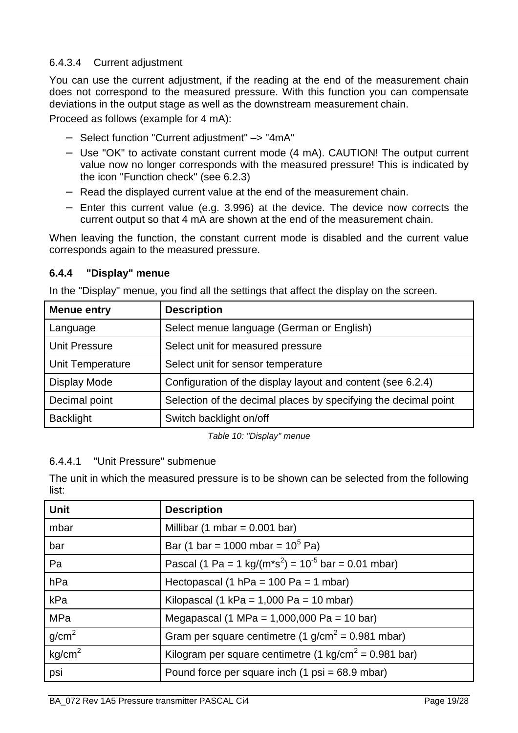# 6.4.3.4 Current adjustment

You can use the current adjustment, if the reading at the end of the measurement chain does not correspond to the measured pressure. With this function you can compensate deviations in the output stage as well as the downstream measurement chain.

Proceed as follows (example for 4 mA):

- − Select function "Current adjustment" –> "4mA"
- − Use "OK" to activate constant current mode (4 mA). CAUTION! The output current value now no longer corresponds with the measured pressure! This is indicated by the icon "Function check" (see 6.2.3)
- − Read the displayed current value at the end of the measurement chain.
- − Enter this current value (e.g. 3.996) at the device. The device now corrects the current output so that 4 mA are shown at the end of the measurement chain.

When leaving the function, the constant current mode is disabled and the current value corresponds again to the measured pressure.

# **6.4.4 "Display" menue**

In the "Display" menue, you find all the settings that affect the display on the screen.

| <b>Menue entry</b>   | <b>Description</b>                                              |
|----------------------|-----------------------------------------------------------------|
| Language             | Select menue language (German or English)                       |
| <b>Unit Pressure</b> | Select unit for measured pressure                               |
| Unit Temperature     | Select unit for sensor temperature                              |
| <b>Display Mode</b>  | Configuration of the display layout and content (see 6.2.4)     |
| Decimal point        | Selection of the decimal places by specifying the decimal point |
| <b>Backlight</b>     | Switch backlight on/off                                         |

Table 10: "Display" menue

# 6.4.4.1 "Unit Pressure" submenue

The unit in which the measured pressure is to be shown can be selected from the following list:

| <b>Unit</b>        | <b>Description</b>                                                              |
|--------------------|---------------------------------------------------------------------------------|
| mbar               | Millibar (1 mbar = $0.001$ bar)                                                 |
| bar                | Bar (1 bar = 1000 mbar = $10^5$ Pa)                                             |
| Pa                 | Pascal (1 Pa = 1 kg/( $m$ *s <sup>2</sup> ) = 10 <sup>-5</sup> bar = 0.01 mbar) |
| hPa                | Hectopascal (1 hPa = $100$ Pa = $1$ mbar)                                       |
| kPa                | Kilopascal (1 kPa = $1,000$ Pa = $10$ mbar)                                     |
| MPa                | Megapascal (1 MPa = 1,000,000 Pa = 10 bar)                                      |
| g/cm <sup>2</sup>  | Gram per square centimetre (1 $g/cm^2$ = 0.981 mbar)                            |
| kg/cm <sup>2</sup> | Kilogram per square centimetre (1 kg/cm <sup>2</sup> = 0.981 bar)               |
| psi                | Pound force per square inch $(1 \text{ psi} = 68.9 \text{ mbar})$               |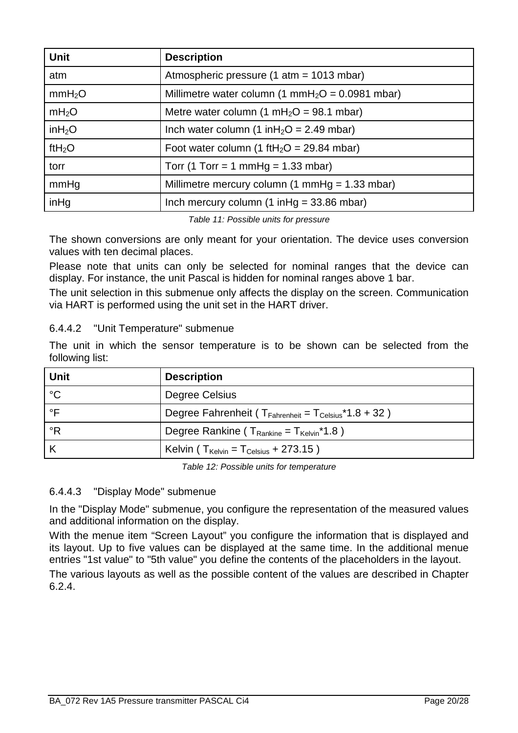| <b>Unit</b>        | <b>Description</b>                                           |
|--------------------|--------------------------------------------------------------|
| atm                | Atmospheric pressure (1 atm = 1013 mbar)                     |
| mmH <sub>2</sub> O | Millimetre water column (1 mmH <sub>2</sub> O = 0.0981 mbar) |
| mH <sub>2</sub> O  | Metre water column (1 mH <sub>2</sub> O = 98.1 mbar)         |
| inH <sub>2</sub> O | Inch water column (1 in $H_2O = 2.49$ mbar)                  |
| ft $H_2O$          | Foot water column (1 ftH <sub>2</sub> O = 29.84 mbar)        |
| torr               | Torr (1 Torr = 1 mmHg = $1.33$ mbar)                         |
| mmHg               | Millimetre mercury column (1 mmHg = $1.33$ mbar)             |
| inHg               | Inch mercury column $(1 \in ] 499 = 33.86$ mbar)             |

Table 11: Possible units for pressure

The shown conversions are only meant for your orientation. The device uses conversion values with ten decimal places.

Please note that units can only be selected for nominal ranges that the device can display. For instance, the unit Pascal is hidden for nominal ranges above 1 bar.

The unit selection in this submenue only affects the display on the screen. Communication via HART is performed using the unit set in the HART driver.

# 6.4.4.2 "Unit Temperature" submenue

The unit in which the sensor temperature is to be shown can be selected from the following list:

| <b>Unit</b>        | <b>Description</b>                                                            |
|--------------------|-------------------------------------------------------------------------------|
| °C                 | Degree Celsius                                                                |
| $\circ \mathsf{F}$ | Degree Fahrenheit ( $T_{\text{Fahrenheit}} = T_{\text{Celsius}} * 1.8 + 32$ ) |
| °R                 | Degree Rankine ( $T_{Rankine} = T_{Kelvin}^*1.8$ )                            |
|                    | Kelvin ( $T_{\text{Kelvin}} = T_{\text{Celsius}} + 273.15$ )                  |

Table 12: Possible units for temperature

# 6.4.4.3 "Display Mode" submenue

In the "Display Mode" submenue, you configure the representation of the measured values and additional information on the display.

With the menue item "Screen Layout" you configure the information that is displayed and its layout. Up to five values can be displayed at the same time. In the additional menue entries "1st value" to "5th value" you define the contents of the placeholders in the layout.

The various layouts as well as the possible content of the values are described in Chapter 6.2.4.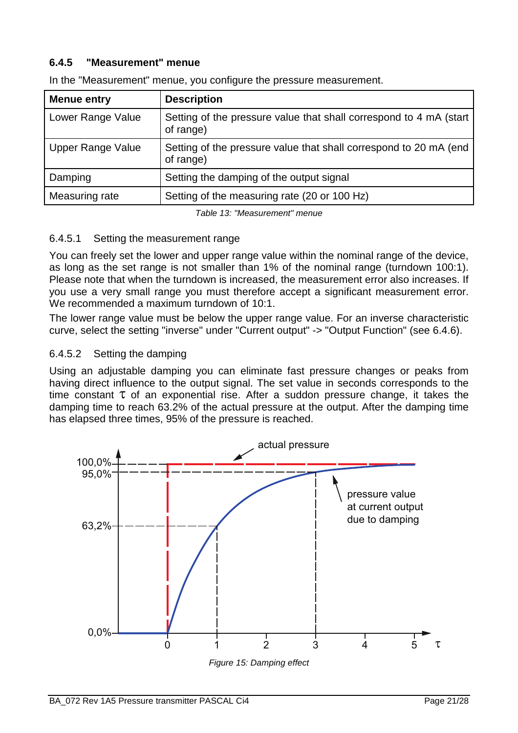## **6.4.5 "Measurement" menue**

| <b>Menue entry</b>       | <b>Description</b>                                                              |
|--------------------------|---------------------------------------------------------------------------------|
| Lower Range Value        | Setting of the pressure value that shall correspond to 4 mA (start<br>of range) |
| <b>Upper Range Value</b> | Setting of the pressure value that shall correspond to 20 mA (end<br>of range)  |
| Damping                  | Setting the damping of the output signal                                        |
| Measuring rate           | Setting of the measuring rate (20 or 100 Hz)                                    |

In the "Measurement" menue, you configure the pressure measurement.

Table 13: "Measurement" menue

## 6.4.5.1 Setting the measurement range

You can freely set the lower and upper range value within the nominal range of the device, as long as the set range is not smaller than 1% of the nominal range (turndown 100:1). Please note that when the turndown is increased, the measurement error also increases. If you use a very small range you must therefore accept a significant measurement error. We recommended a maximum turndown of 10:1.

The lower range value must be below the upper range value. For an inverse characteristic curve, select the setting "inverse" under "Current output" -> "Output Function" (see 6.4.6).

# 6.4.5.2 Setting the damping

Using an adjustable damping you can eliminate fast pressure changes or peaks from having direct influence to the output signal. The set value in seconds corresponds to the time constant  $\tau$  of an exponential rise. After a suddon pressure change, it takes the damping time to reach 63.2% of the actual pressure at the output. After the damping time has elapsed three times, 95% of the pressure is reached.



Figure 15: Damping effect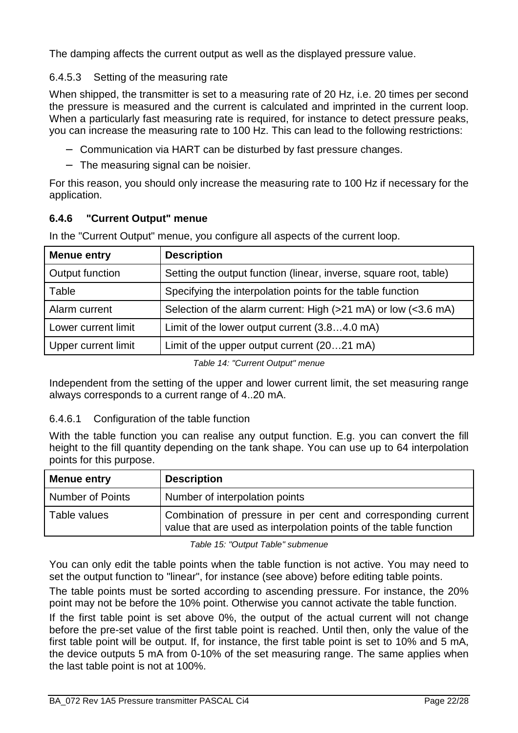The damping affects the current output as well as the displayed pressure value.

# 6.4.5.3 Setting of the measuring rate

When shipped, the transmitter is set to a measuring rate of 20 Hz, i.e. 20 times per second the pressure is measured and the current is calculated and imprinted in the current loop. When a particularly fast measuring rate is required, for instance to detect pressure peaks, you can increase the measuring rate to 100 Hz. This can lead to the following restrictions:

- − Communication via HART can be disturbed by fast pressure changes.
- − The measuring signal can be noisier.

For this reason, you should only increase the measuring rate to 100 Hz if necessary for the application.

# **6.4.6 "Current Output" menue**

In the "Current Output" menue, you configure all aspects of the current loop.

| <b>Menue entry</b>  | <b>Description</b>                                                |
|---------------------|-------------------------------------------------------------------|
| Output function     | Setting the output function (linear, inverse, square root, table) |
| Table               | Specifying the interpolation points for the table function        |
| Alarm current       | Selection of the alarm current: High (>21 mA) or low (<3.6 mA)    |
| Lower current limit | Limit of the lower output current (3.84.0 mA)                     |
| Upper current limit | Limit of the upper output current (2021 mA)                       |
|                     |                                                                   |

Table 14: "Current Output" menue

Independent from the setting of the upper and lower current limit, the set measuring range always corresponds to a current range of 4..20 mA.

# 6.4.6.1 Configuration of the table function

With the table function you can realise any output function. E.g. you can convert the fill height to the fill quantity depending on the tank shape. You can use up to 64 interpolation points for this purpose.

| Menue entry             | <b>Description</b>                                                                                                                 |
|-------------------------|------------------------------------------------------------------------------------------------------------------------------------|
| <b>Number of Points</b> | Number of interpolation points                                                                                                     |
| Table values            | Combination of pressure in per cent and corresponding current<br>value that are used as interpolation points of the table function |

Table 15: "Output Table" submenue

You can only edit the table points when the table function is not active. You may need to set the output function to "linear", for instance (see above) before editing table points.

The table points must be sorted according to ascending pressure. For instance, the 20% point may not be before the 10% point. Otherwise you cannot activate the table function.

If the first table point is set above 0%, the output of the actual current will not change before the pre-set value of the first table point is reached. Until then, only the value of the first table point will be output. If, for instance, the first table point is set to 10% and 5 mA, the device outputs 5 mA from 0-10% of the set measuring range. The same applies when the last table point is not at 100%.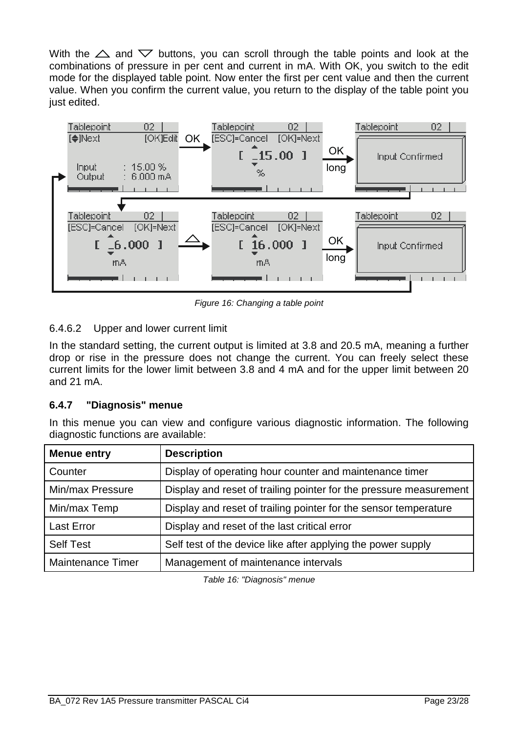With the  $\triangle$  and  $\nabla$  buttons, you can scroll through the table points and look at the combinations of pressure in per cent and current in mA. With OK, you switch to the edit mode for the displayed table point. Now enter the first per cent value and then the current value. When you confirm the current value, you return to the display of the table point you just edited.



Figure 16: Changing a table point

# 6.4.6.2 Upper and lower current limit

In the standard setting, the current output is limited at 3.8 and 20.5 mA, meaning a further drop or rise in the pressure does not change the current. You can freely select these current limits for the lower limit between 3.8 and 4 mA and for the upper limit between 20 and 21 mA.

# **6.4.7 "Diagnosis" menue**

In this menue you can view and configure various diagnostic information. The following diagnostic functions are available:

| <b>Menue entry</b>       | <b>Description</b>                                                 |
|--------------------------|--------------------------------------------------------------------|
| Counter                  | Display of operating hour counter and maintenance timer            |
| Min/max Pressure         | Display and reset of trailing pointer for the pressure measurement |
| Min/max Temp             | Display and reset of trailing pointer for the sensor temperature   |
| <b>Last Error</b>        | Display and reset of the last critical error                       |
| <b>Self Test</b>         | Self test of the device like after applying the power supply       |
| <b>Maintenance Timer</b> | Management of maintenance intervals                                |

Table 16: "Diagnosis" menue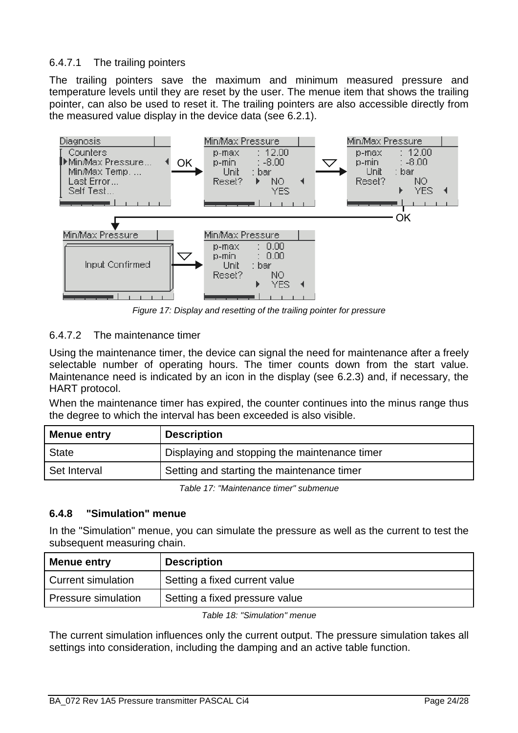## 6.4.7.1 The trailing pointers

The trailing pointers save the maximum and minimum measured pressure and temperature levels until they are reset by the user. The menue item that shows the trailing pointer, can also be used to reset it. The trailing pointers are also accessible directly from the measured value display in the device data (see 6.2.1).



Figure 17: Display and resetting of the trailing pointer for pressure

# 6.4.7.2 The maintenance timer

Using the maintenance timer, the device can signal the need for maintenance after a freely selectable number of operating hours. The timer counts down from the start value. Maintenance need is indicated by an icon in the display (see 6.2.3) and, if necessary, the HART protocol.

When the maintenance timer has expired, the counter continues into the minus range thus the degree to which the interval has been exceeded is also visible.

| Menue entry  | <b>Description</b>                            |
|--------------|-----------------------------------------------|
| <b>State</b> | Displaying and stopping the maintenance timer |
| Set Interval | Setting and starting the maintenance timer    |

Table 17: "Maintenance timer" submenue

### **6.4.8 "Simulation" menue**

In the "Simulation" menue, you can simulate the pressure as well as the current to test the subsequent measuring chain.

| Menue entry               | <b>Description</b>             |
|---------------------------|--------------------------------|
| <b>Current simulation</b> | Setting a fixed current value  |
| Pressure simulation       | Setting a fixed pressure value |

Table 18: "Simulation" menue

The current simulation influences only the current output. The pressure simulation takes all settings into consideration, including the damping and an active table function.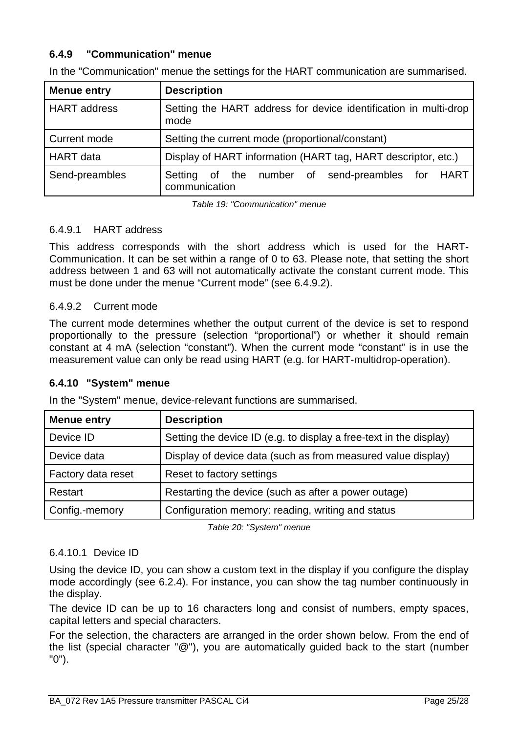## **6.4.9 "Communication" menue**

| Menue entry         | <b>Description</b>                                                       |
|---------------------|--------------------------------------------------------------------------|
| <b>HART</b> address | Setting the HART address for device identification in multi-drop<br>mode |
| Current mode        | Setting the current mode (proportional/constant)                         |
| <b>HART</b> data    | Display of HART information (HART tag, HART descriptor, etc.)            |
| Send-preambles      | of the number of send-preambles for HART<br>Setting<br>communication     |

In the "Communication" menue the settings for the HART communication are summarised.

Table 19: "Communication" menue

#### 6.4.9.1 HART address

This address corresponds with the short address which is used for the HART-Communication. It can be set within a range of 0 to 63. Please note, that setting the short address between 1 and 63 will not automatically activate the constant current mode. This must be done under the menue "Current mode" (see 6.4.9.2).

#### 6.4.9.2 Current mode

The current mode determines whether the output current of the device is set to respond proportionally to the pressure (selection "proportional") or whether it should remain constant at 4 mA (selection "constant"). When the current mode "constant" is in use the measurement value can only be read using HART (e.g. for HART-multidrop-operation).

### **6.4.10 "System" menue**

In the "System" menue, device-relevant functions are summarised.

| <b>Menue entry</b> | <b>Description</b>                                                 |
|--------------------|--------------------------------------------------------------------|
| Device ID          | Setting the device ID (e.g. to display a free-text in the display) |
| Device data        | Display of device data (such as from measured value display)       |
| Factory data reset | Reset to factory settings                                          |
| Restart            | Restarting the device (such as after a power outage)               |
| Config.-memory     | Configuration memory: reading, writing and status                  |

Table 20: "System" menue

### 6.4.10.1 Device ID

Using the device ID, you can show a custom text in the display if you configure the display mode accordingly (see 6.2.4). For instance, you can show the tag number continuously in the display.

The device ID can be up to 16 characters long and consist of numbers, empty spaces, capital letters and special characters.

For the selection, the characters are arranged in the order shown below. From the end of the list (special character "@"), you are automatically guided back to the start (number "0").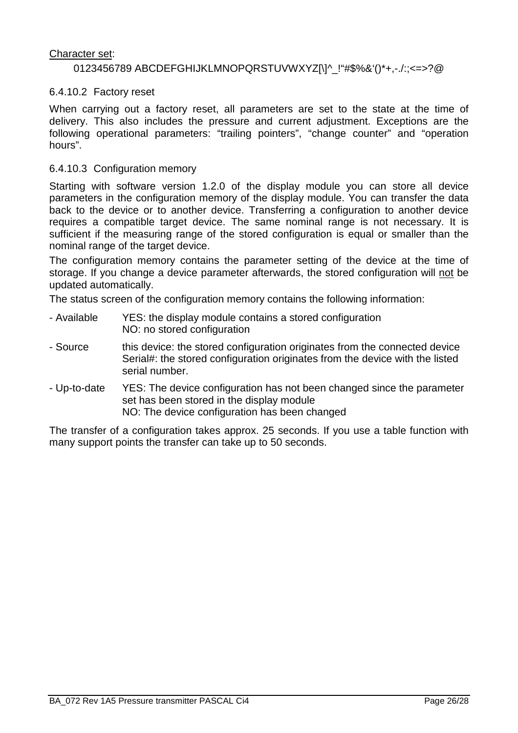#### Character set:

#### 0123456789 ABCDEFGHIJKLMNOPQRSTUVWXYZ[\]^\_!"#\$%&'()\*+,-./:;<=>?@

#### 6.4.10.2 Factory reset

When carrying out a factory reset, all parameters are set to the state at the time of delivery. This also includes the pressure and current adjustment. Exceptions are the following operational parameters: "trailing pointers", "change counter" and "operation hours".

#### 6.4.10.3 Configuration memory

Starting with software version 1.2.0 of the display module you can store all device parameters in the configuration memory of the display module. You can transfer the data back to the device or to another device. Transferring a configuration to another device requires a compatible target device. The same nominal range is not necessary. It is sufficient if the measuring range of the stored configuration is equal or smaller than the nominal range of the target device.

The configuration memory contains the parameter setting of the device at the time of storage. If you change a device parameter afterwards, the stored configuration will not be updated automatically.

The status screen of the configuration memory contains the following information:

- Available YES: the display module contains a stored configuration NO: no stored configuration
- Source this device: the stored configuration originates from the connected device Serial#: the stored configuration originates from the device with the listed serial number.
- Up-to-date YES: The device configuration has not been changed since the parameter set has been stored in the display module NO: The device configuration has been changed

The transfer of a configuration takes approx. 25 seconds. If you use a table function with many support points the transfer can take up to 50 seconds.